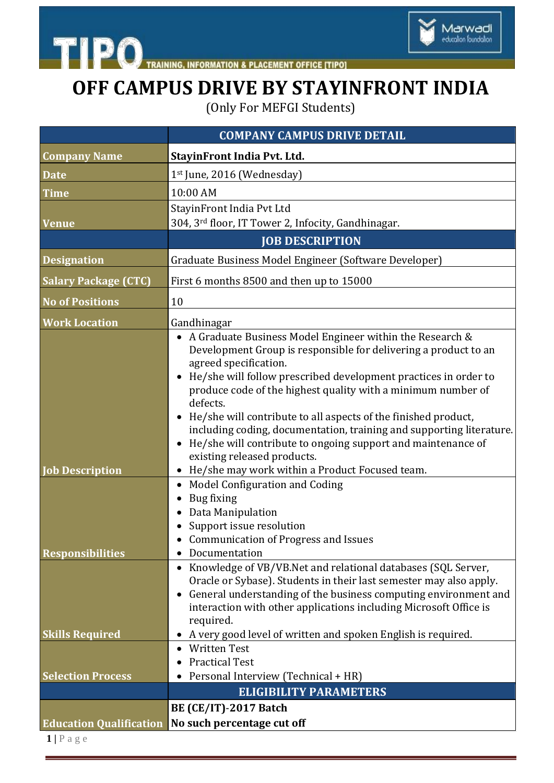



## **OFF CAMPUS DRIVE BY STAYINFRONT INDIA**

(Only For MEFGI Students)

|                                | <b>COMPANY CAMPUS DRIVE DETAIL</b>                                                                                                                                                                                                                                                                                                                                                                                                                                                                                                                                                                                                                |
|--------------------------------|---------------------------------------------------------------------------------------------------------------------------------------------------------------------------------------------------------------------------------------------------------------------------------------------------------------------------------------------------------------------------------------------------------------------------------------------------------------------------------------------------------------------------------------------------------------------------------------------------------------------------------------------------|
| <b>Company Name</b>            | StayinFront India Pvt. Ltd.                                                                                                                                                                                                                                                                                                                                                                                                                                                                                                                                                                                                                       |
| <b>Date</b>                    | 1st June, 2016 (Wednesday)                                                                                                                                                                                                                                                                                                                                                                                                                                                                                                                                                                                                                        |
| <b>Time</b>                    | 10:00 AM                                                                                                                                                                                                                                                                                                                                                                                                                                                                                                                                                                                                                                          |
| <b>Venue</b>                   | StayinFront India Pvt Ltd<br>304, 3rd floor, IT Tower 2, Infocity, Gandhinagar.                                                                                                                                                                                                                                                                                                                                                                                                                                                                                                                                                                   |
|                                | <b>JOB DESCRIPTION</b>                                                                                                                                                                                                                                                                                                                                                                                                                                                                                                                                                                                                                            |
| <b>Designation</b>             | Graduate Business Model Engineer (Software Developer)                                                                                                                                                                                                                                                                                                                                                                                                                                                                                                                                                                                             |
| <b>Salary Package (CTC)</b>    | First 6 months 8500 and then up to 15000                                                                                                                                                                                                                                                                                                                                                                                                                                                                                                                                                                                                          |
| <b>No of Positions</b>         | 10                                                                                                                                                                                                                                                                                                                                                                                                                                                                                                                                                                                                                                                |
| <b>Work Location</b>           | Gandhinagar                                                                                                                                                                                                                                                                                                                                                                                                                                                                                                                                                                                                                                       |
| <b>Job</b> Description         | A Graduate Business Model Engineer within the Research &<br>Development Group is responsible for delivering a product to an<br>agreed specification.<br>He/she will follow prescribed development practices in order to<br>produce code of the highest quality with a minimum number of<br>defects.<br>• He/she will contribute to all aspects of the finished product,<br>including coding, documentation, training and supporting literature.<br>He/she will contribute to ongoing support and maintenance of<br>existing released products.<br>• He/she may work within a Product Focused team.<br>Model Configuration and Coding<br>$\bullet$ |
| <b>Responsibilities</b>        | Bug fixing<br>Data Manipulation<br>Support issue resolution<br>• Communication of Progress and Issues<br>Documentation                                                                                                                                                                                                                                                                                                                                                                                                                                                                                                                            |
|                                | Knowledge of VB/VB.Net and relational databases (SQL Server,<br>Oracle or Sybase). Students in their last semester may also apply.<br>General understanding of the business computing environment and<br>interaction with other applications including Microsoft Office is<br>required.                                                                                                                                                                                                                                                                                                                                                           |
| <b>Skills Required</b>         | • A very good level of written and spoken English is required.                                                                                                                                                                                                                                                                                                                                                                                                                                                                                                                                                                                    |
|                                | <b>Written Test</b><br><b>Practical Test</b>                                                                                                                                                                                                                                                                                                                                                                                                                                                                                                                                                                                                      |
| <b>Selection Process</b>       | Personal Interview (Technical + HR)                                                                                                                                                                                                                                                                                                                                                                                                                                                                                                                                                                                                               |
|                                | <b>ELIGIBILITY PARAMETERS</b>                                                                                                                                                                                                                                                                                                                                                                                                                                                                                                                                                                                                                     |
|                                | <b>BE (CE/IT)-2017 Batch</b>                                                                                                                                                                                                                                                                                                                                                                                                                                                                                                                                                                                                                      |
| <b>Education Qualification</b> | No such percentage cut off                                                                                                                                                                                                                                                                                                                                                                                                                                                                                                                                                                                                                        |
| $1$   Page                     |                                                                                                                                                                                                                                                                                                                                                                                                                                                                                                                                                                                                                                                   |